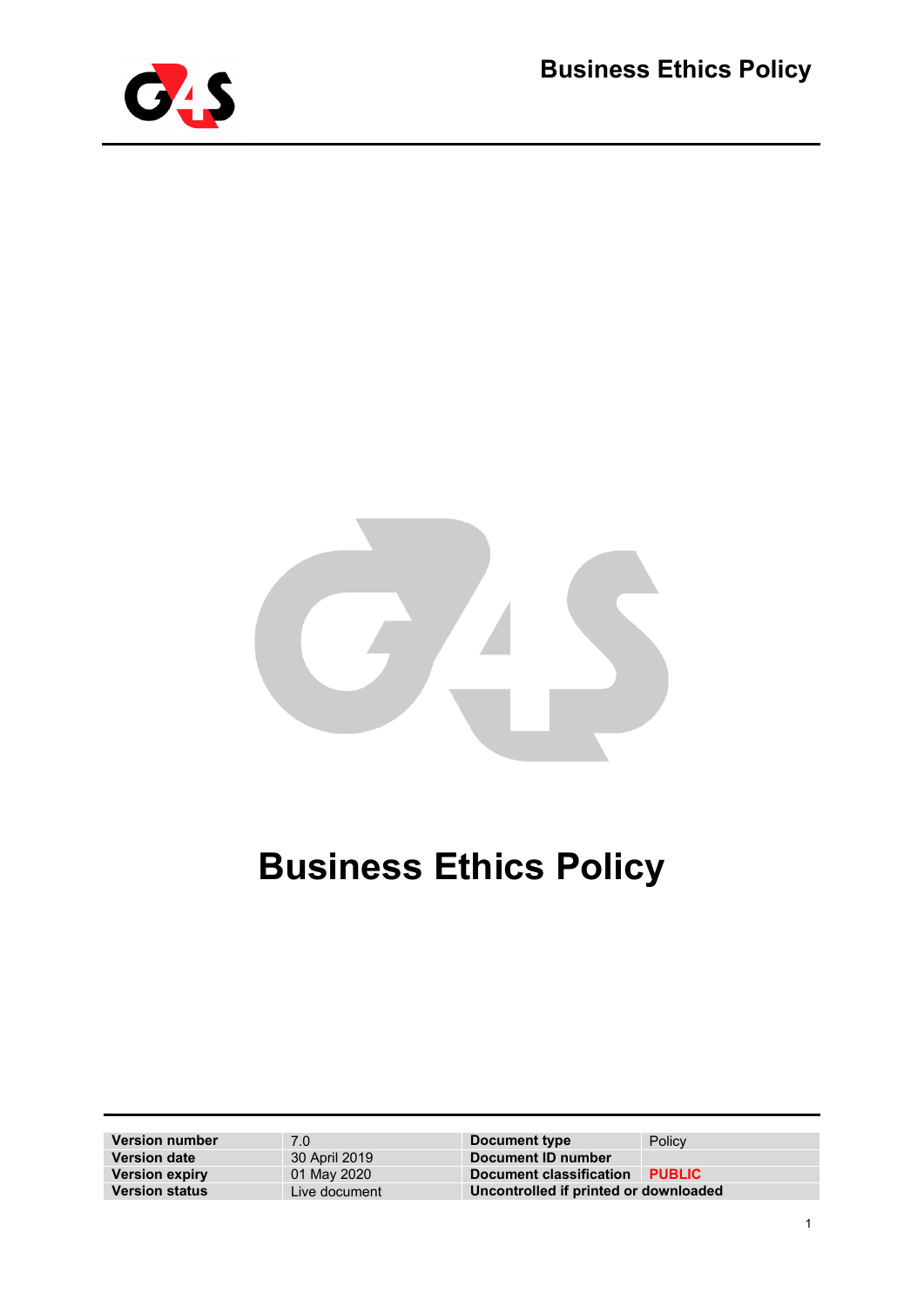



# **Business Ethics Policy**

| <b>Version number</b> | 7.0           | Document type                         | Policy        |
|-----------------------|---------------|---------------------------------------|---------------|
| <b>Version date</b>   | 30 April 2019 | Document ID number                    |               |
| <b>Version expiry</b> | 01 May 2020   | Document classification               | <b>PUBLIC</b> |
| <b>Version status</b> | Live document | Uncontrolled if printed or downloaded |               |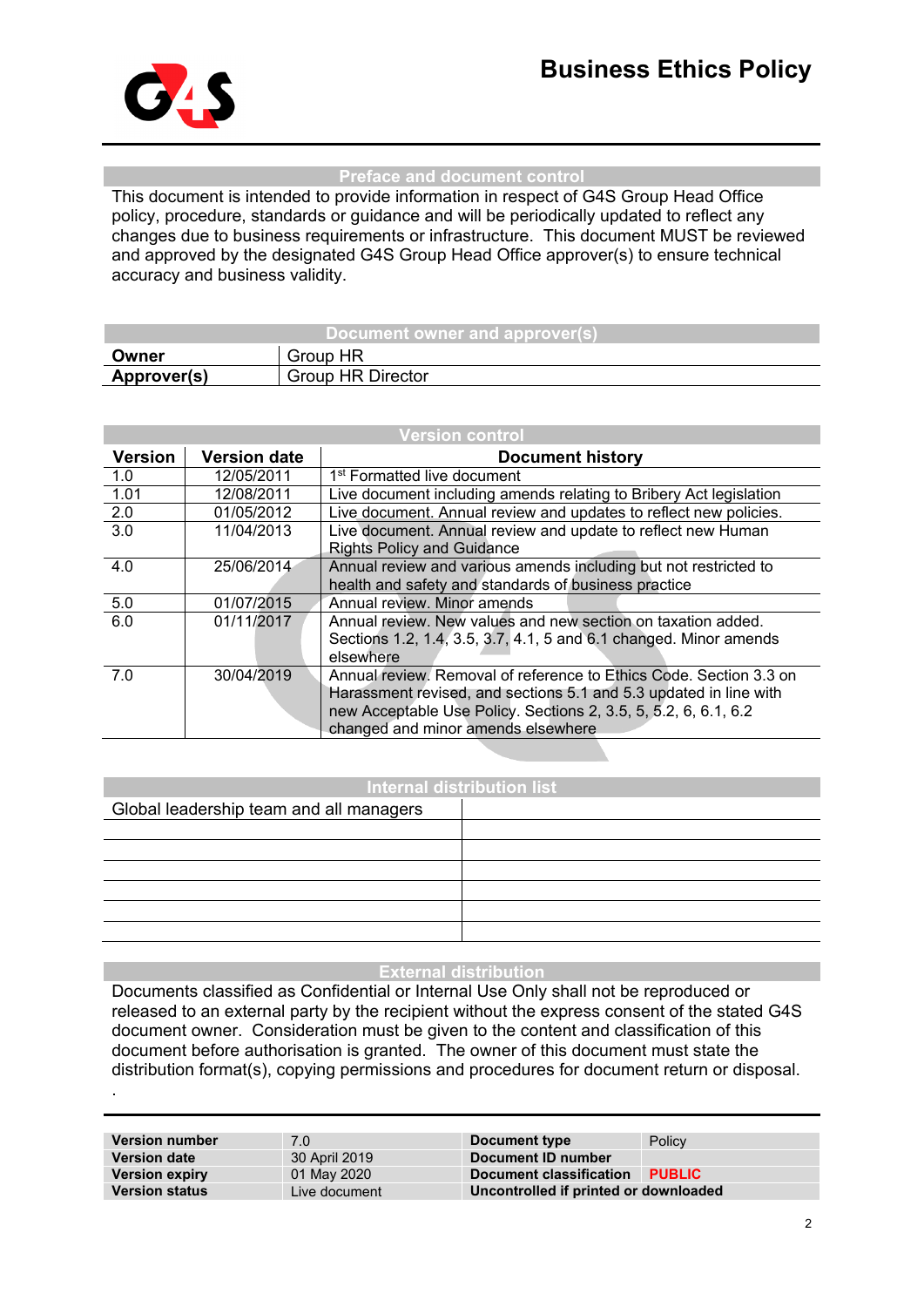

.

#### **Preface and document control**

This document is intended to provide information in respect of G4S Group Head Office policy, procedure, standards or guidance and will be periodically updated to reflect any changes due to business requirements or infrastructure. This document MUST be reviewed and approved by the designated G4S Group Head Office approver(s) to ensure technical accuracy and business validity.

| Document owner and approver(s) |                          |  |  |
|--------------------------------|--------------------------|--|--|
| Owner                          | Group HR                 |  |  |
| Approver(s)                    | <b>Group HR Director</b> |  |  |

| <b>Version control</b> |                     |                                                                                                                                                                                                                                                  |  |
|------------------------|---------------------|--------------------------------------------------------------------------------------------------------------------------------------------------------------------------------------------------------------------------------------------------|--|
| <b>Version</b>         | <b>Version date</b> | <b>Document history</b>                                                                                                                                                                                                                          |  |
| 1.0                    | 12/05/2011          | 1 <sup>st</sup> Formatted live document                                                                                                                                                                                                          |  |
| 1.01                   | 12/08/2011          | Live document including amends relating to Bribery Act legislation                                                                                                                                                                               |  |
| 2.0                    | 01/05/2012          | Live document. Annual review and updates to reflect new policies.                                                                                                                                                                                |  |
| $\overline{3.0}$       | 11/04/2013          | Live document. Annual review and update to reflect new Human<br><b>Rights Policy and Guidance</b>                                                                                                                                                |  |
| 4.0                    | 25/06/2014          | Annual review and various amends including but not restricted to<br>health and safety and standards of business practice                                                                                                                         |  |
| 5.0                    | 01/07/2015          | Annual review. Minor amends                                                                                                                                                                                                                      |  |
| 6.0                    | 01/11/2017          | Annual review. New values and new section on taxation added.<br>Sections 1.2, 1.4, 3.5, 3.7, 4.1, 5 and 6.1 changed. Minor amends<br>elsewhere                                                                                                   |  |
| 7.0                    | 30/04/2019          | Annual review. Removal of reference to Ethics Code. Section 3.3 on<br>Harassment revised, and sections 5.1 and 5.3 updated in line with<br>new Acceptable Use Policy. Sections 2, 3.5, 5, 5.2, 6, 6.1, 6.2<br>changed and minor amends elsewhere |  |

#### **Internal distribution list**

| Global leadership team and all managers |  |
|-----------------------------------------|--|
|                                         |  |
|                                         |  |
|                                         |  |
|                                         |  |
|                                         |  |
|                                         |  |

#### **External distribution**

Documents classified as Confidential or Internal Use Only shall not be reproduced or released to an external party by the recipient without the express consent of the stated G4S document owner. Consideration must be given to the content and classification of this document before authorisation is granted. The owner of this document must state the distribution format(s), copying permissions and procedures for document return or disposal.

| <b>Version number</b> | 7.0           | Document type                         | Policy        |
|-----------------------|---------------|---------------------------------------|---------------|
| <b>Version date</b>   | 30 April 2019 | Document ID number                    |               |
| <b>Version expiry</b> | 01 May 2020   | Document classification               | <b>PUBLIC</b> |
| <b>Version status</b> | Live document | Uncontrolled if printed or downloaded |               |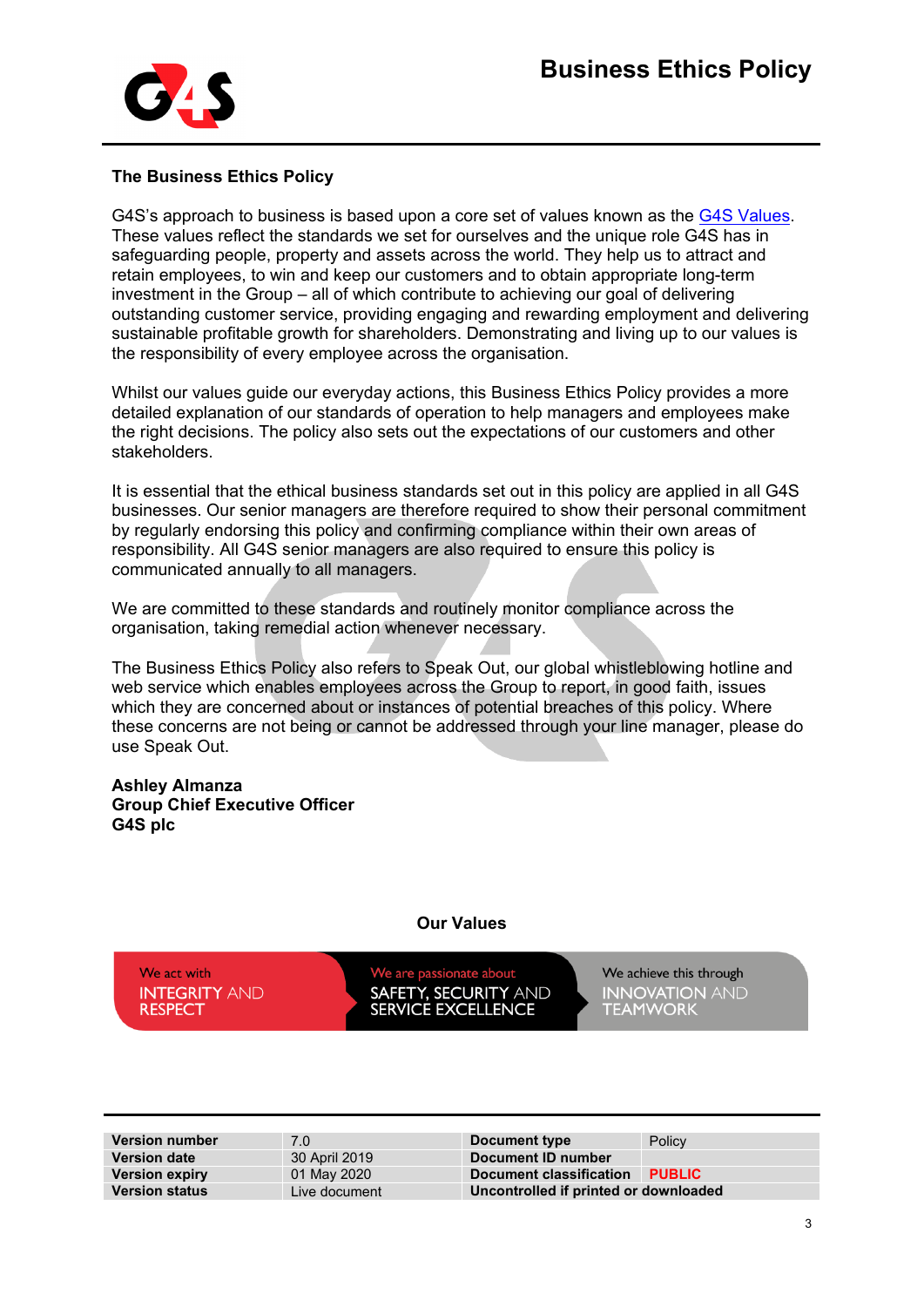

### **The Business Ethics Policy**

G4S's approach to business is based upon a core set of values known as the [G4S Values.](https://sites.google.com/a/g4s.com/thehub/our-values) These values reflect the standards we set for ourselves and the unique role G4S has in safeguarding people, property and assets across the world. They help us to attract and retain employees, to win and keep our customers and to obtain appropriate long-term investment in the Group – all of which contribute to achieving our goal of delivering outstanding customer service, providing engaging and rewarding employment and delivering sustainable profitable growth for shareholders. Demonstrating and living up to our values is the responsibility of every employee across the organisation.

Whilst our values guide our everyday actions, this Business Ethics Policy provides a more detailed explanation of our standards of operation to help managers and employees make the right decisions. The policy also sets out the expectations of our customers and other stakeholders.

It is essential that the ethical business standards set out in this policy are applied in all G4S businesses. Our senior managers are therefore required to show their personal commitment by regularly endorsing this policy and confirming compliance within their own areas of responsibility. All G4S senior managers are also required to ensure this policy is communicated annually to all managers.

We are committed to these standards and routinely monitor compliance across the organisation, taking remedial action whenever necessary.

The Business Ethics Policy also refers to Speak Out, our global whistleblowing hotline and web service which enables employees across the Group to report, in good faith, issues which they are concerned about or instances of potential breaches of this policy. Where these concerns are not being or cannot be addressed through your line manager, please do use Speak Out.

#### **Ashley Almanza Group Chief Executive Officer G4S plc**

#### **Our Values**

We act with **INTEGRITY AND RESPECT** 

e are passionate about SAFETY, SECURITY AND<br>SERVICE EXCELLENCE

We achieve this through **INNOVATION AND<br>TEAMWORK** 

| <b>Version number</b> | 7.0           | Document type                         | Policy        |
|-----------------------|---------------|---------------------------------------|---------------|
| <b>Version date</b>   | 30 April 2019 | Document ID number                    |               |
| <b>Version expiry</b> | 01 May 2020   | Document classification               | <b>PUBLIC</b> |
| <b>Version status</b> | Live document | Uncontrolled if printed or downloaded |               |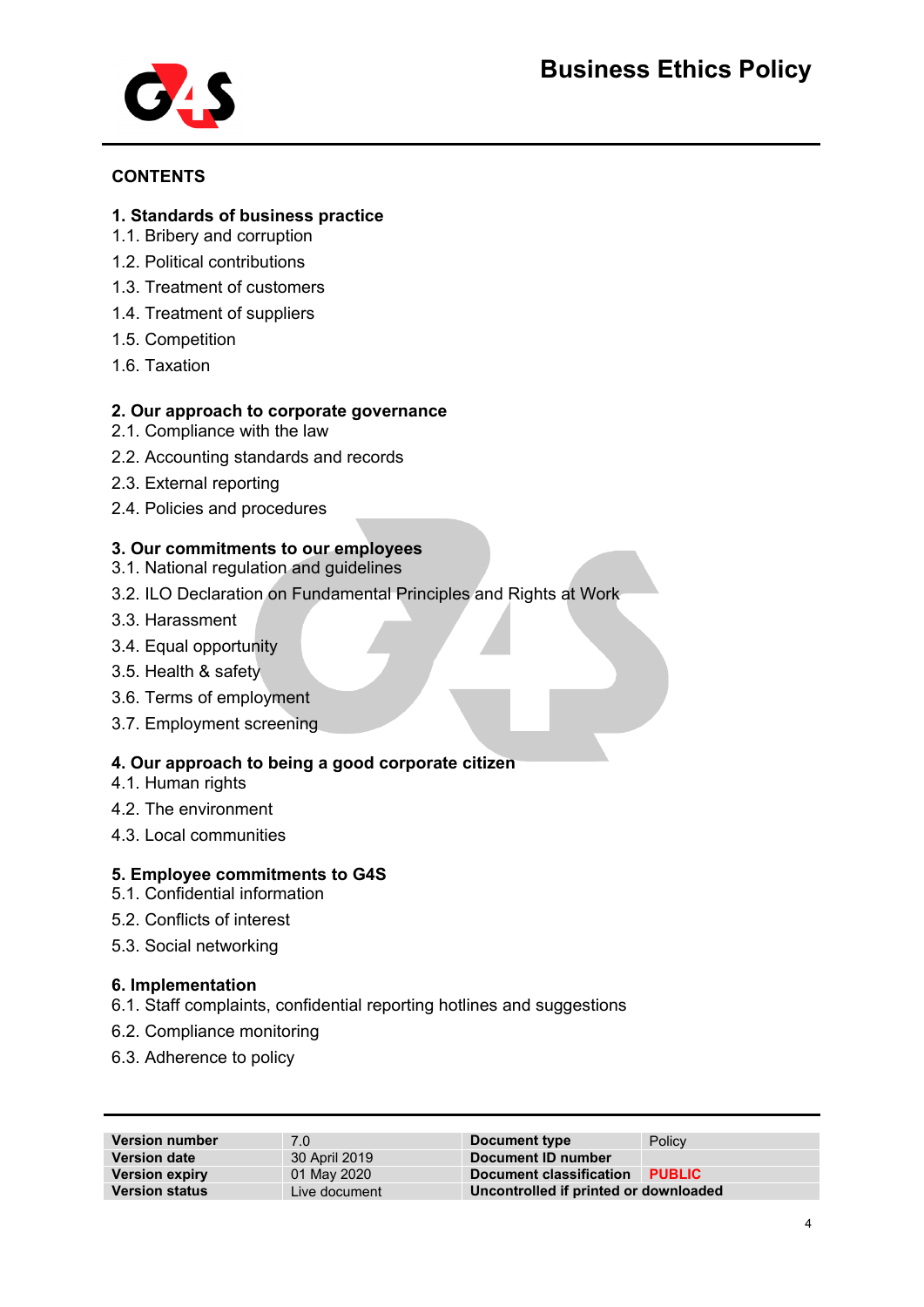

## **CONTENTS**

## **1. Standards of business practice**

- 1.1. Bribery and corruption
- 1.2. Political contributions
- 1.3. Treatment of customers
- 1.4. Treatment of suppliers
- 1.5. Competition
- 1.6. Taxation

## **2. Our approach to corporate governance**

- 2.1. Compliance with the law
- 2.2. Accounting standards and records
- 2.3. External reporting
- 2.4. Policies and procedures

# **3. Our commitments to our employees**

- 3.1. National regulation and guidelines
- 3.2. ILO Declaration on Fundamental Principles and Rights at Work
- 3.3. Harassment
- 3.4. Equal opportunity
- 3.5. Health & safety
- 3.6. Terms of employment
- 3.7. Employment screening

# **4. Our approach to being a good corporate citizen**

- 4.1. Human rights
- 4.2. The environment
- 4.3. Local communities

# **5. Employee commitments to G4S**

- 5.1. Confidential information
- 5.2. Conflicts of interest
- 5.3. Social networking

### **6. Implementation**

- 6.1. Staff complaints, confidential reporting hotlines and suggestions
- 6.2. Compliance monitoring
- 6.3. Adherence to policy

| <b>Version number</b> | 7.0           | Document type                         | Policy        |
|-----------------------|---------------|---------------------------------------|---------------|
| <b>Version date</b>   | 30 April 2019 | Document ID number                    |               |
| <b>Version expiry</b> | 01 May 2020   | Document classification               | <b>PUBLIC</b> |
| <b>Version status</b> | Live document | Uncontrolled if printed or downloaded |               |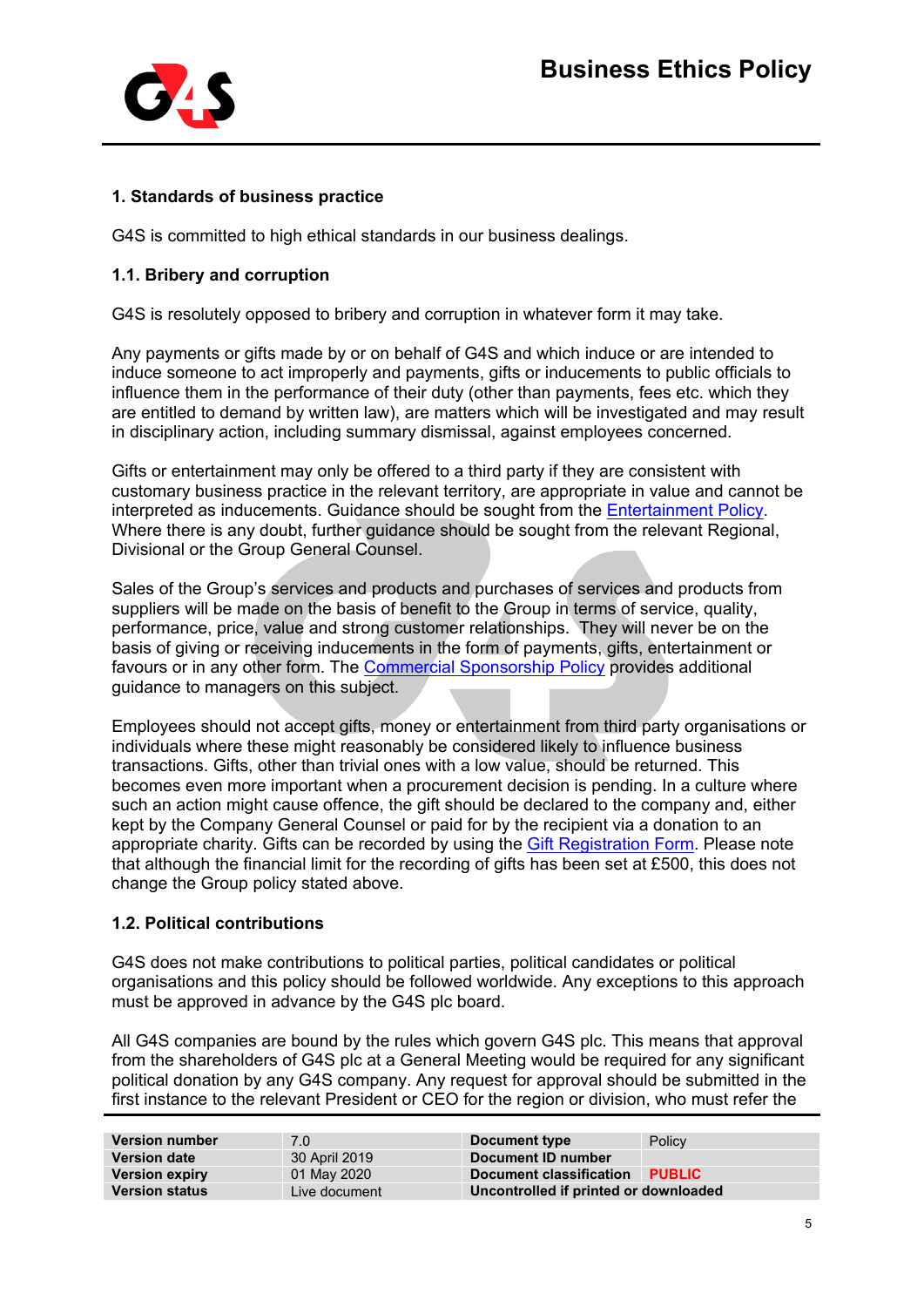

# **1. Standards of business practice**

G4S is committed to high ethical standards in our business dealings.

### **1.1. Bribery and corruption**

G4S is resolutely opposed to bribery and corruption in whatever form it may take.

Any payments or gifts made by or on behalf of G4S and which induce or are intended to induce someone to act improperly and payments, gifts or inducements to public officials to influence them in the performance of their duty (other than payments, fees etc. which they are entitled to demand by written law), are matters which will be investigated and may result in disciplinary action, including summary dismissal, against employees concerned.

Gifts or entertainment may only be offered to a third party if they are consistent with customary business practice in the relevant territory, are appropriate in value and cannot be interpreted as inducements. Guidance should be sought from the [Entertainment Policy.](https://a25a5877-a-d7105a08-s-sites.googlegroups.com/a/g4s.com/thehub/global-standards/ethics/bribery-act/bribery-act-policies/Gifts%20%26%20Entertainment%20Policy_2018.pdf?attachauth=ANoY7cpj8AC42e0sH8G8nKmZOtrCpZLmk3ZwqnLwmKw8WneV_0lr-atFnq2TOC7RVwqLZJePe80vElqLFuBi1oiRHsbxoePvavnup3kq8JqeLzbfxqKZ0E8NNPRQZiXMv8bKXo41ocZD26wh2T_po7wU12GDkpfxGlFMU3w3QRHEf6yl2BorcyPJsoLQl8ETvuGFiUcm9ddvnIr2R8UNVqPe--UbjDQ28AhiNc8I7WZQcg85nX_kP7yGzIOQtCdWhDjbOToTLD5g6EjOiWswywGMfQ1q8wfikki7aqMjHycts-vN9aVyKQPYkUUOziwku_ORc8kyfhC0&attredirects=0) Where there is any doubt, further guidance should be sought from the relevant Regional, Divisional or the Group General Counsel.

Sales of the Group's services and products and purchases of services and products from suppliers will be made on the basis of benefit to the Group in terms of service, quality, performance, price, value and strong customer relationships. They will never be on the basis of giving or receiving inducements in the form of payments, gifts, entertainment or favours or in any other form. The [Commercial Sponsorship Policy](https://docs.google.com/a/g4s.com/viewer?a=v&pid=sites&srcid=ZzRzLmNvbXx0aGVodWJ8Z3g6MmJiZjk5OTkyOWNkNjQxNw) provides additional guidance to managers on this subject.

Employees should not accept gifts, money or entertainment from third party organisations or individuals where these might reasonably be considered likely to influence business transactions. Gifts, other than trivial ones with a low value, should be returned. This becomes even more important when a procurement decision is pending. In a culture where such an action might cause offence, the gift should be declared to the company and, either kept by the Company General Counsel or paid for by the recipient via a donation to an appropriate charity. Gifts can be recorded by using the [Gift Registration Form.](https://docs.google.com/a/g4s.com/forms/d/e/1FAIpQLSd213-OQoqos3aHs-q8kdBTM3l5gSsxdLaZjn9u0VUA2RLYew/viewform) Please note that although the financial limit for the recording of gifts has been set at £500, this does not change the Group policy stated above.

### **1.2. Political contributions**

G4S does not make contributions to political parties, political candidates or political organisations and this policy should be followed worldwide. Any exceptions to this approach must be approved in advance by the G4S plc board.

All G4S companies are bound by the rules which govern G4S plc. This means that approval from the shareholders of G4S plc at a General Meeting would be required for any significant political donation by any G4S company. Any request for approval should be submitted in the first instance to the relevant President or CEO for the region or division, who must refer the

| <b>Version number</b> | 7.0           | Document type                         | Policy        |
|-----------------------|---------------|---------------------------------------|---------------|
| <b>Version date</b>   | 30 April 2019 | Document ID number                    |               |
| <b>Version expiry</b> | 01 May 2020   | Document classification               | <b>PUBLIC</b> |
| <b>Version status</b> | Live document | Uncontrolled if printed or downloaded |               |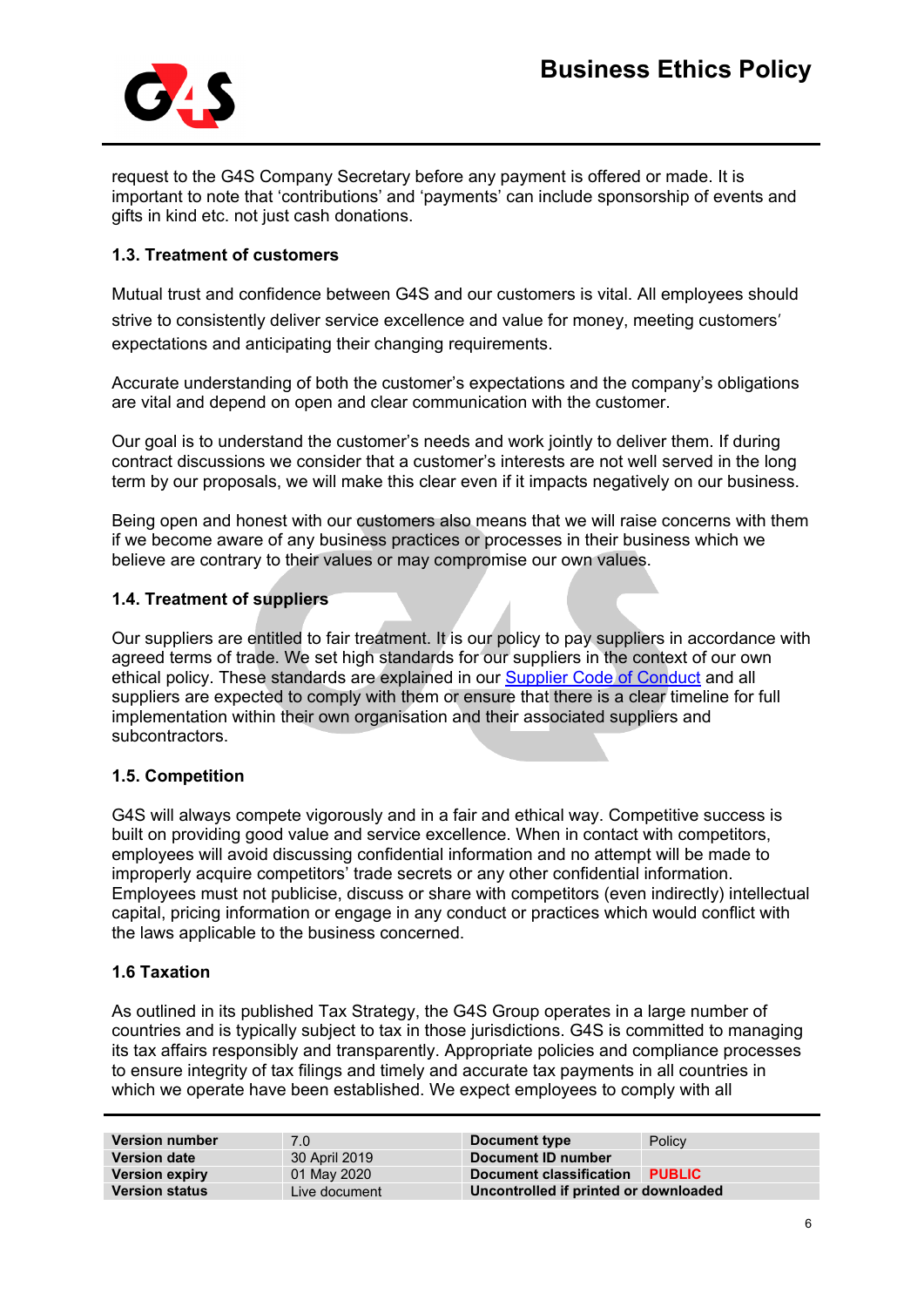

request to the G4S Company Secretary before any payment is offered or made. It is important to note that 'contributions' and 'payments' can include sponsorship of events and gifts in kind etc. not just cash donations.

# **1.3. Treatment of customers**

Mutual trust and confidence between G4S and our customers is vital. All employees should strive to consistently deliver service excellence and value for money, meeting customers' expectations and anticipating their changing requirements.

Accurate understanding of both the customer's expectations and the company's obligations are vital and depend on open and clear communication with the customer.

Our goal is to understand the customer's needs and work jointly to deliver them. If during contract discussions we consider that a customer's interests are not well served in the long term by our proposals, we will make this clear even if it impacts negatively on our business.

Being open and honest with our customers also means that we will raise concerns with them if we become aware of any business practices or processes in their business which we believe are contrary to their values or may compromise our own values.

## **1.4. Treatment of suppliers**

Our suppliers are entitled to fair treatment. It is our policy to pay suppliers in accordance with agreed terms of trade. We set high standards for our suppliers in the context of our own ethical policy. These standards are explained in our [Supplier Code of Conduct](http://www.g4s.com/-/media/G4S/Corporate/Files/Group-Policies/Global_Supplier_Code_of_Conduct_v7.ashx?la=en) and all suppliers are expected to comply with them or ensure that there is a clear timeline for full implementation within their own organisation and their associated suppliers and subcontractors.

### **1.5. Competition**

G4S will always compete vigorously and in a fair and ethical way. Competitive success is built on providing good value and service excellence. When in contact with competitors, employees will avoid discussing confidential information and no attempt will be made to improperly acquire competitors' trade secrets or any other confidential information. Employees must not publicise, discuss or share with competitors (even indirectly) intellectual capital, pricing information or engage in any conduct or practices which would conflict with the laws applicable to the business concerned.

### **1.6 Taxation**

As outlined in its published Tax Strategy, the G4S Group operates in a large number of countries and is typically subject to tax in those jurisdictions. G4S is committed to managing its tax affairs responsibly and transparently. Appropriate policies and compliance processes to ensure integrity of tax filings and timely and accurate tax payments in all countries in which we operate have been established. We expect employees to comply with all

| <b>Version number</b> | 7.0           | Document type                         | Policy        |
|-----------------------|---------------|---------------------------------------|---------------|
| <b>Version date</b>   | 30 April 2019 | Document ID number                    |               |
| <b>Version expiry</b> | 01 May 2020   | Document classification               | <b>PUBLIC</b> |
| <b>Version status</b> | Live document | Uncontrolled if printed or downloaded |               |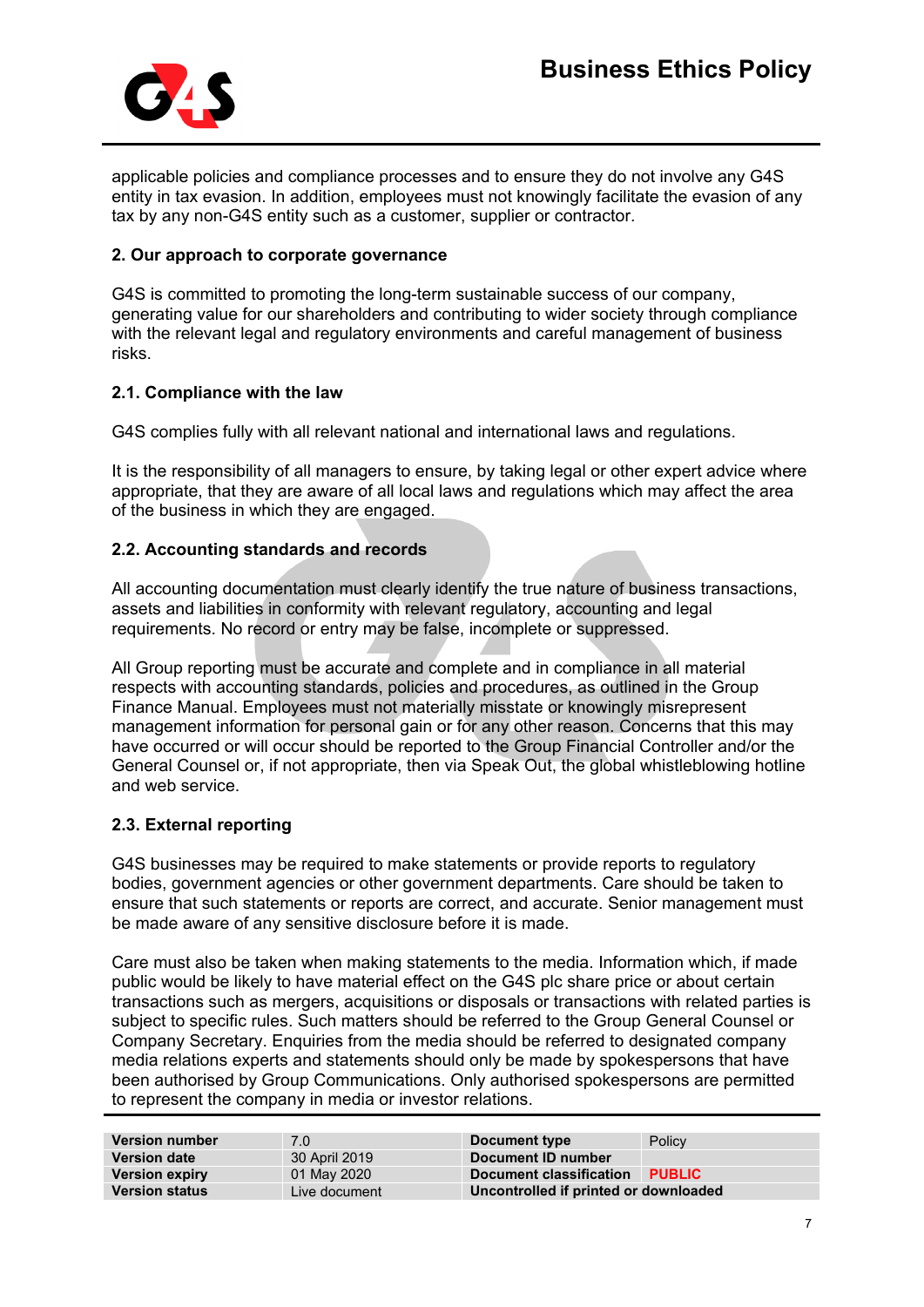

applicable policies and compliance processes and to ensure they do not involve any G4S entity in tax evasion. In addition, employees must not knowingly facilitate the evasion of any tax by any non-G4S entity such as a customer, supplier or contractor.

### **2. Our approach to corporate governance**

G4S is committed to promoting the long-term sustainable success of our company, generating value for our shareholders and contributing to wider society through compliance with the relevant legal and regulatory environments and careful management of business risks.

## **2.1. Compliance with the law**

G4S complies fully with all relevant national and international laws and regulations.

It is the responsibility of all managers to ensure, by taking legal or other expert advice where appropriate, that they are aware of all local laws and regulations which may affect the area of the business in which they are engaged.

# **2.2. Accounting standards and records**

All accounting documentation must clearly identify the true nature of business transactions. assets and liabilities in conformity with relevant regulatory, accounting and legal requirements. No record or entry may be false, incomplete or suppressed.

All Group reporting must be accurate and complete and in compliance in all material respects with accounting standards, policies and procedures, as outlined in the Group Finance Manual. Employees must not materially misstate or knowingly misrepresent management information for personal gain or for any other reason. Concerns that this may have occurred or will occur should be reported to the Group Financial Controller and/or the General Counsel or, if not appropriate, then via Speak Out, the global whistleblowing hotline and web service.

# **2.3. External reporting**

G4S businesses may be required to make statements or provide reports to regulatory bodies, government agencies or other government departments. Care should be taken to ensure that such statements or reports are correct, and accurate. Senior management must be made aware of any sensitive disclosure before it is made.

Care must also be taken when making statements to the media. Information which, if made public would be likely to have material effect on the G4S plc share price or about certain transactions such as mergers, acquisitions or disposals or transactions with related parties is subject to specific rules. Such matters should be referred to the Group General Counsel or Company Secretary. Enquiries from the media should be referred to designated company media relations experts and statements should only be made by spokespersons that have been authorised by Group Communications. Only authorised spokespersons are permitted to represent the company in media or investor relations.

| <b>Version number</b> | 7.0           | Document type                         | Policy        |
|-----------------------|---------------|---------------------------------------|---------------|
| <b>Version date</b>   | 30 April 2019 | Document ID number                    |               |
| <b>Version expiry</b> | 01 May 2020   | Document classification               | <b>PUBLIC</b> |
| <b>Version status</b> | Live document | Uncontrolled if printed or downloaded |               |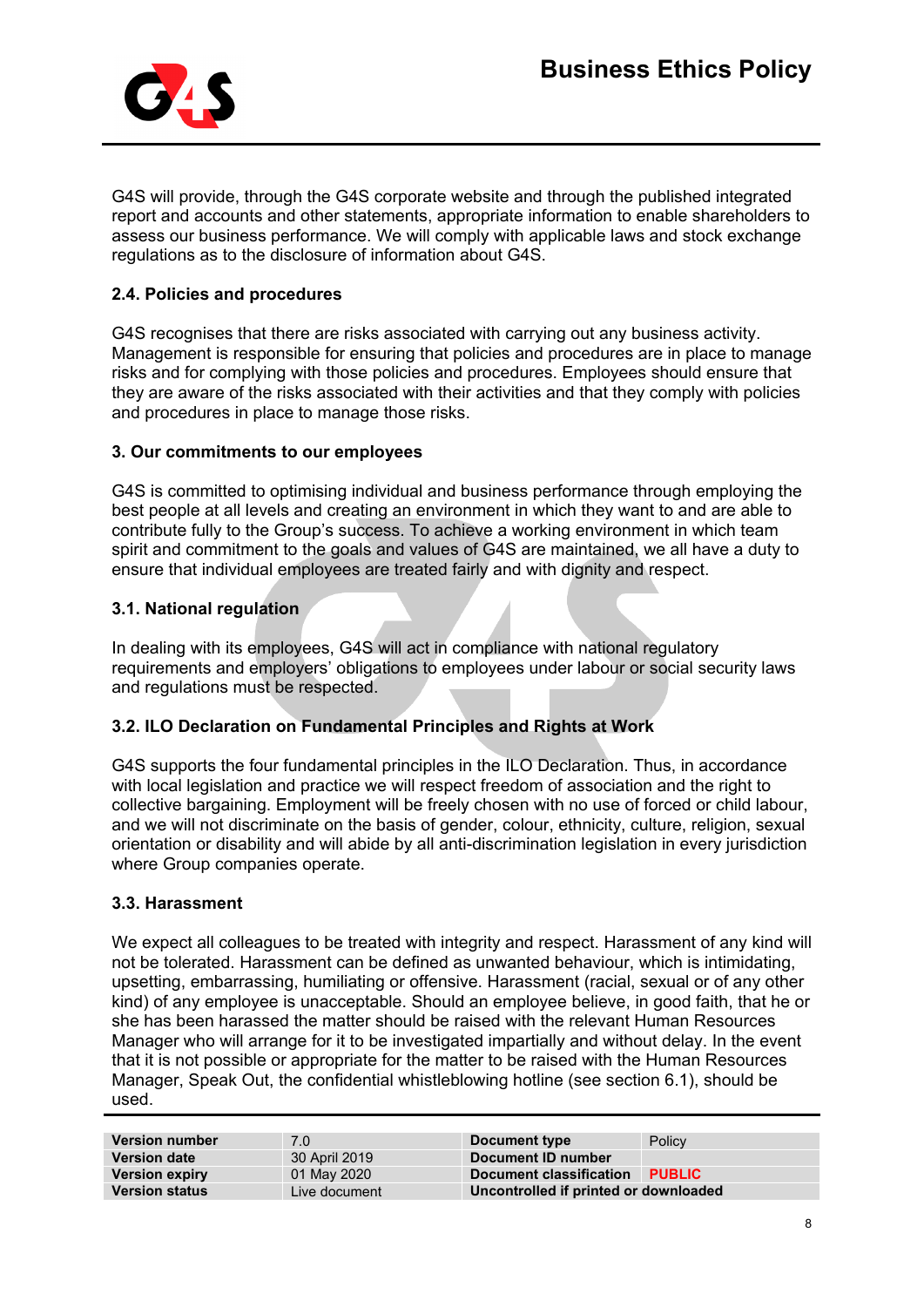

G4S will provide, through the G4S corporate website and through the published integrated report and accounts and other statements, appropriate information to enable shareholders to assess our business performance. We will comply with applicable laws and stock exchange regulations as to the disclosure of information about G4S.

# **2.4. Policies and procedures**

G4S recognises that there are risks associated with carrying out any business activity. Management is responsible for ensuring that policies and procedures are in place to manage risks and for complying with those policies and procedures. Employees should ensure that they are aware of the risks associated with their activities and that they comply with policies and procedures in place to manage those risks.

# **3. Our commitments to our employees**

G4S is committed to optimising individual and business performance through employing the best people at all levels and creating an environment in which they want to and are able to contribute fully to the Group's success. To achieve a working environment in which team spirit and commitment to the goals and values of G4S are maintained, we all have a duty to ensure that individual employees are treated fairly and with dignity and respect.

# **3.1. National regulation**

In dealing with its employees, G4S will act in compliance with national regulatory requirements and employers' obligations to employees under labour or social security laws and regulations must be respected.

# **3.2. ILO Declaration on Fundamental Principles and Rights at Work**

G4S supports the four fundamental principles in the ILO Declaration. Thus, in accordance with local legislation and practice we will respect freedom of association and the right to collective bargaining. Employment will be freely chosen with no use of forced or child labour, and we will not discriminate on the basis of gender, colour, ethnicity, culture, religion, sexual orientation or disability and will abide by all anti-discrimination legislation in every jurisdiction where Group companies operate.

### **3.3. Harassment**

We expect all colleagues to be treated with integrity and respect. Harassment of any kind will not be tolerated. Harassment can be defined as unwanted behaviour, which is intimidating, upsetting, embarrassing, humiliating or offensive. Harassment (racial, sexual or of any other kind) of any employee is unacceptable. Should an employee believe, in good faith, that he or she has been harassed the matter should be raised with the relevant Human Resources Manager who will arrange for it to be investigated impartially and without delay. In the event that it is not possible or appropriate for the matter to be raised with the Human Resources Manager, Speak Out, the confidential whistleblowing hotline (see section 6.1), should be used.

| <b>Version number</b> | 7.0           | Document type                         | Policy        |
|-----------------------|---------------|---------------------------------------|---------------|
| <b>Version date</b>   | 30 April 2019 | Document ID number                    |               |
| <b>Version expiry</b> | 01 May 2020   | Document classification               | <b>PUBLIC</b> |
| <b>Version status</b> | Live document | Uncontrolled if printed or downloaded |               |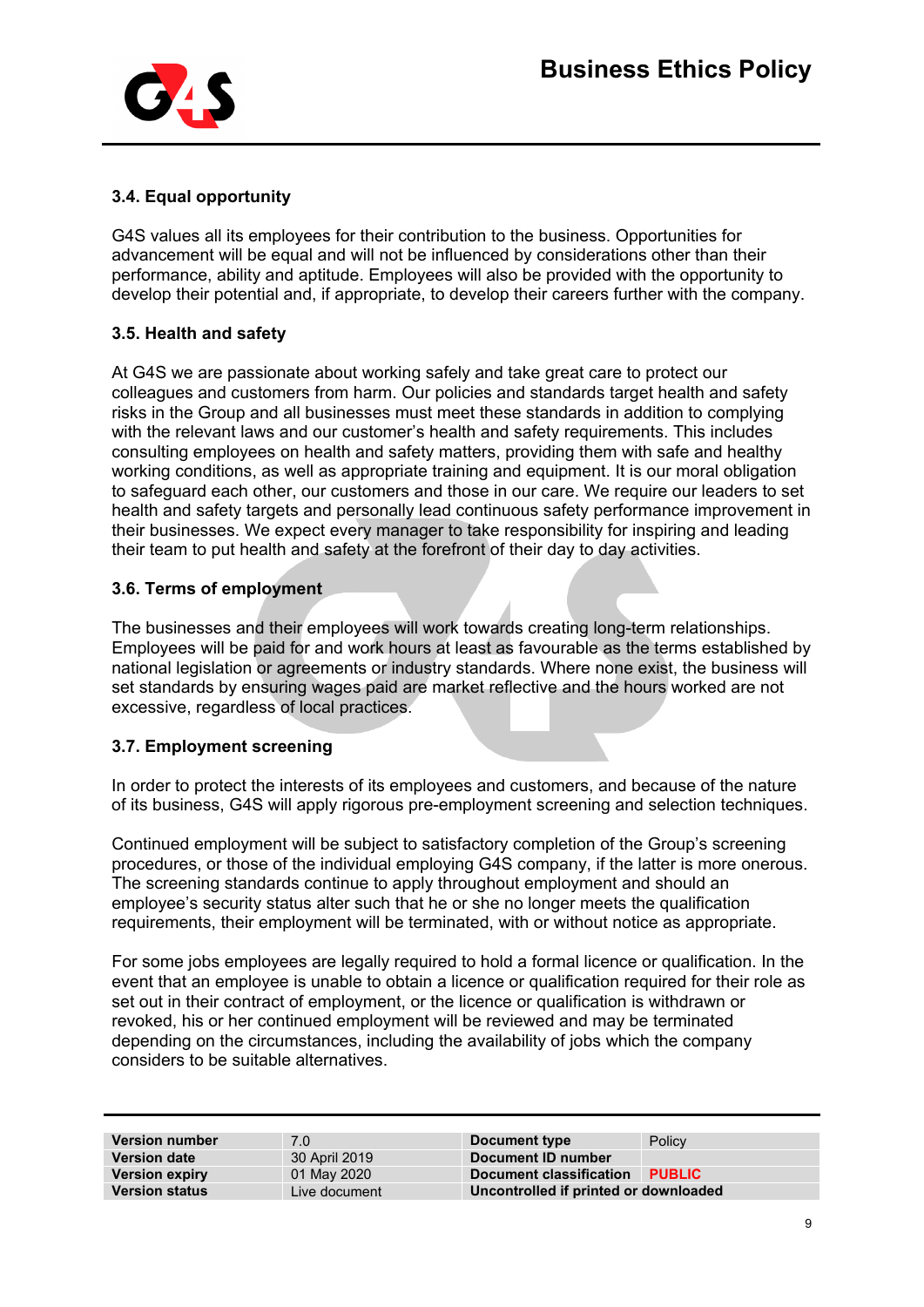

# **3.4. Equal opportunity**

G4S values all its employees for their contribution to the business. Opportunities for advancement will be equal and will not be influenced by considerations other than their performance, ability and aptitude. Employees will also be provided with the opportunity to develop their potential and, if appropriate, to develop their careers further with the company.

# **3.5. Health and safety**

At G4S we are passionate about working safely and take great care to protect our colleagues and customers from harm. Our policies and standards target health and safety risks in the Group and all businesses must meet these standards in addition to complying with the relevant laws and our customer's health and safety requirements. This includes consulting employees on health and safety matters, providing them with safe and healthy working conditions, as well as appropriate training and equipment. It is our moral obligation to safeguard each other, our customers and those in our care. We require our leaders to set health and safety targets and personally lead continuous safety performance improvement in their businesses. We expect every manager to take responsibility for inspiring and leading their team to put health and safety at the forefront of their day to day activities.

## **3.6. Terms of employment**

The businesses and their employees will work towards creating long-term relationships. Employees will be paid for and work hours at least as favourable as the terms established by national legislation or agreements or industry standards. Where none exist, the business will set standards by ensuring wages paid are market reflective and the hours worked are not excessive, regardless of local practices.

# **3.7. Employment screening**

In order to protect the interests of its employees and customers, and because of the nature of its business, G4S will apply rigorous pre-employment screening and selection techniques.

Continued employment will be subject to satisfactory completion of the Group's screening procedures, or those of the individual employing G4S company, if the latter is more onerous. The screening standards continue to apply throughout employment and should an employee's security status alter such that he or she no longer meets the qualification requirements, their employment will be terminated, with or without notice as appropriate.

For some jobs employees are legally required to hold a formal licence or qualification. In the event that an employee is unable to obtain a licence or qualification required for their role as set out in their contract of employment, or the licence or qualification is withdrawn or revoked, his or her continued employment will be reviewed and may be terminated depending on the circumstances, including the availability of jobs which the company considers to be suitable alternatives.

| <b>Version number</b> | 7.0           | Document type                         | Policy        |
|-----------------------|---------------|---------------------------------------|---------------|
| <b>Version date</b>   | 30 April 2019 | Document ID number                    |               |
| <b>Version expiry</b> | 01 May 2020   | Document classification               | <b>PUBLIC</b> |
| <b>Version status</b> | Live document | Uncontrolled if printed or downloaded |               |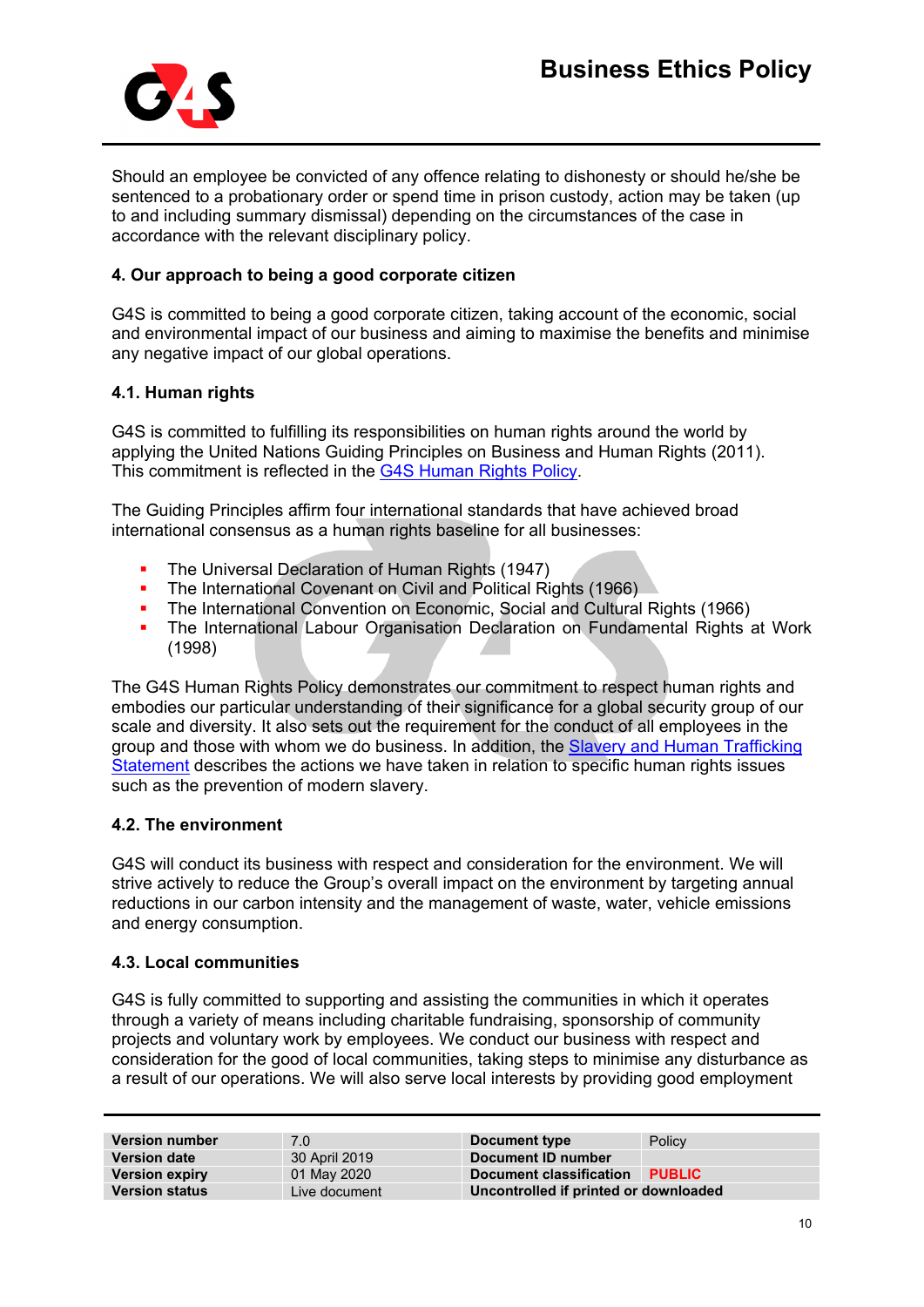

Should an employee be convicted of any offence relating to dishonesty or should he/she be sentenced to a probationary order or spend time in prison custody, action may be taken (up to and including summary dismissal) depending on the circumstances of the case in accordance with the relevant disciplinary policy.

## **4. Our approach to being a good corporate citizen**

G4S is committed to being a good corporate citizen, taking account of the economic, social and environmental impact of our business and aiming to maximise the benefits and minimise any negative impact of our global operations.

## **4.1. Human rights**

G4S is committed to fulfilling its responsibilities on human rights around the world by applying the United Nations Guiding Principles on Business and Human Rights (2011). This commitment is reflected in the [G4S Human Rights Policy.](https://a25a5877-a-d7105a08-s-sites.googlegroups.com/a/g4s.com/thehub/global-standards/ethics/human-rights/Human%20Rights%20Policy%20-%202019.pdf?attachauth=ANoY7cp_0beA8ybEW9DMIW3BLTxJuPu6qHWF_gi_o6QDPK7EJ7sz0WgH5yYjHEqs_yqvFgPJSv3oSF0uIdBtaVknlVo4XSj7faLfs7RdOCrBg2IpEizuFEm3vL7IgjMAJDaLIBe5OCpTXKUdX3YOg9VkbNlJZIMWQpfSJ1Gss8h-zWV2oW-LPN7b24Aa7WqVMAMBfYC_lyrh1796QCSq21qVLXmSVtD7Im2p7kv9MdoCq00lcbpNLqSCDN4sUMZxod9_LBVQs1rlokAQCeqpb1Plbft9zzsIjw%3D%3D&attredirects=0)

The Guiding Principles affirm four international standards that have achieved broad international consensus as a human rights baseline for all businesses:

- The Universal Declaration of Human Rights (1947)
- The International Covenant on Civil and Political Rights (1966)
- **The International Convention on Economic, Social and Cultural Rights (1966)**
- The International Labour Organisation Declaration on Fundamental Rights at Work (1998)

The G4S Human Rights Policy demonstrates our commitment to respect human rights and embodies our particular understanding of their significance for a global security group of our scale and diversity. It also sets out the requirement for the conduct of all employees in the group and those with whom we do business. In addition, the [Slavery and Human Trafficking](http://www.g4s.com/modernslavery)  [Statement](http://www.g4s.com/modernslavery) describes the actions we have taken in relation to specific human rights issues such as the prevention of modern slavery.

## **4.2. The environment**

G4S will conduct its business with respect and consideration for the environment. We will strive actively to reduce the Group's overall impact on the environment by targeting annual reductions in our carbon intensity and the management of waste, water, vehicle emissions and energy consumption.

### **4.3. Local communities**

G4S is fully committed to supporting and assisting the communities in which it operates through a variety of means including charitable fundraising, sponsorship of community projects and voluntary work by employees. We conduct our business with respect and consideration for the good of local communities, taking steps to minimise any disturbance as a result of our operations. We will also serve local interests by providing good employment

| <b>Version number</b> | 7.0           | Document type                         | Policy        |
|-----------------------|---------------|---------------------------------------|---------------|
|                       |               |                                       |               |
| <b>Version date</b>   | 30 April 2019 | Document ID number                    |               |
| <b>Version expiry</b> | 01 May 2020   | Document classification               | <b>PUBLIC</b> |
| <b>Version status</b> | Live document | Uncontrolled if printed or downloaded |               |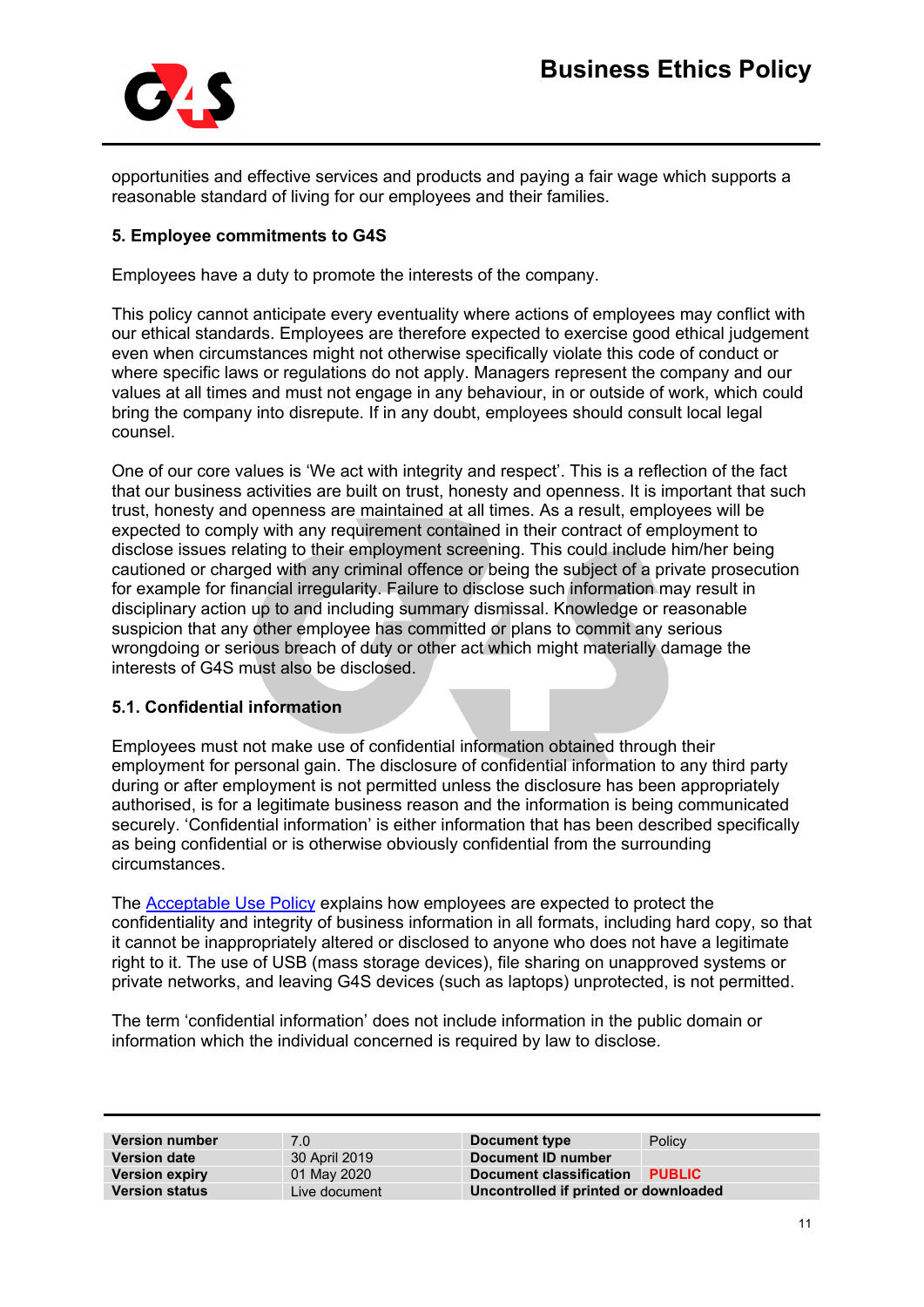

opportunities and effective services and products and paying a fair wage which supports a reasonable standard of living for our employees and their families.

## **5. Employee commitments to G4S**

Employees have a duty to promote the interests of the company.

This policy cannot anticipate every eventuality where actions of employees may conflict with our ethical standards. Employees are therefore expected to exercise good ethical judgement even when circumstances might not otherwise specifically violate this code of conduct or where specific laws or regulations do not apply. Managers represent the company and our values at all times and must not engage in any behaviour, in or outside of work, which could bring the company into disrepute. If in any doubt, employees should consult local legal counsel.

One of our core values is 'We act with integrity and respect'. This is a reflection of the fact that our business activities are built on trust, honesty and openness. It is important that such trust, honesty and openness are maintained at all times. As a result, employees will be expected to comply with any requirement contained in their contract of employment to disclose issues relating to their employment screening. This could include him/her being cautioned or charged with any criminal offence or being the subject of a private prosecution for example for financial irregularity. Failure to disclose such information may result in disciplinary action up to and including summary dismissal. Knowledge or reasonable suspicion that any other employee has committed or plans to commit any serious wrongdoing or serious breach of duty or other act which might materially damage the interests of G4S must also be disclosed.

### **5.1. Confidential information**

Employees must not make use of confidential information obtained through their employment for personal gain. The disclosure of confidential information to any third party during or after employment is not permitted unless the disclosure has been appropriately authorised, is for a legitimate business reason and the information is being communicated securely. 'Confidential information' is either information that has been described specifically as being confidential or is otherwise obviously confidential from the surrounding circumstances.

The [Acceptable Use Policy](https://sites.google.com/a/g4s.com/thehub/functions/it/protecting-business-information/policies/acceptable-use-policy) explains how employees are expected to protect the confidentiality and integrity of business information in all formats, including hard copy, so that it cannot be inappropriately altered or disclosed to anyone who does not have a legitimate right to it. The use of USB (mass storage devices), file sharing on unapproved systems or private networks, and leaving G4S devices (such as laptops) unprotected, is not permitted.

The term 'confidential information' does not include information in the public domain or information which the individual concerned is required by law to disclose.

| <b>Version number</b> | 7.0           | Document type                         | Policy        |
|-----------------------|---------------|---------------------------------------|---------------|
| <b>Version date</b>   | 30 April 2019 | Document ID number                    |               |
| <b>Version expiry</b> | 01 May 2020   | Document classification               | <b>PUBLIC</b> |
| <b>Version status</b> | Live document | Uncontrolled if printed or downloaded |               |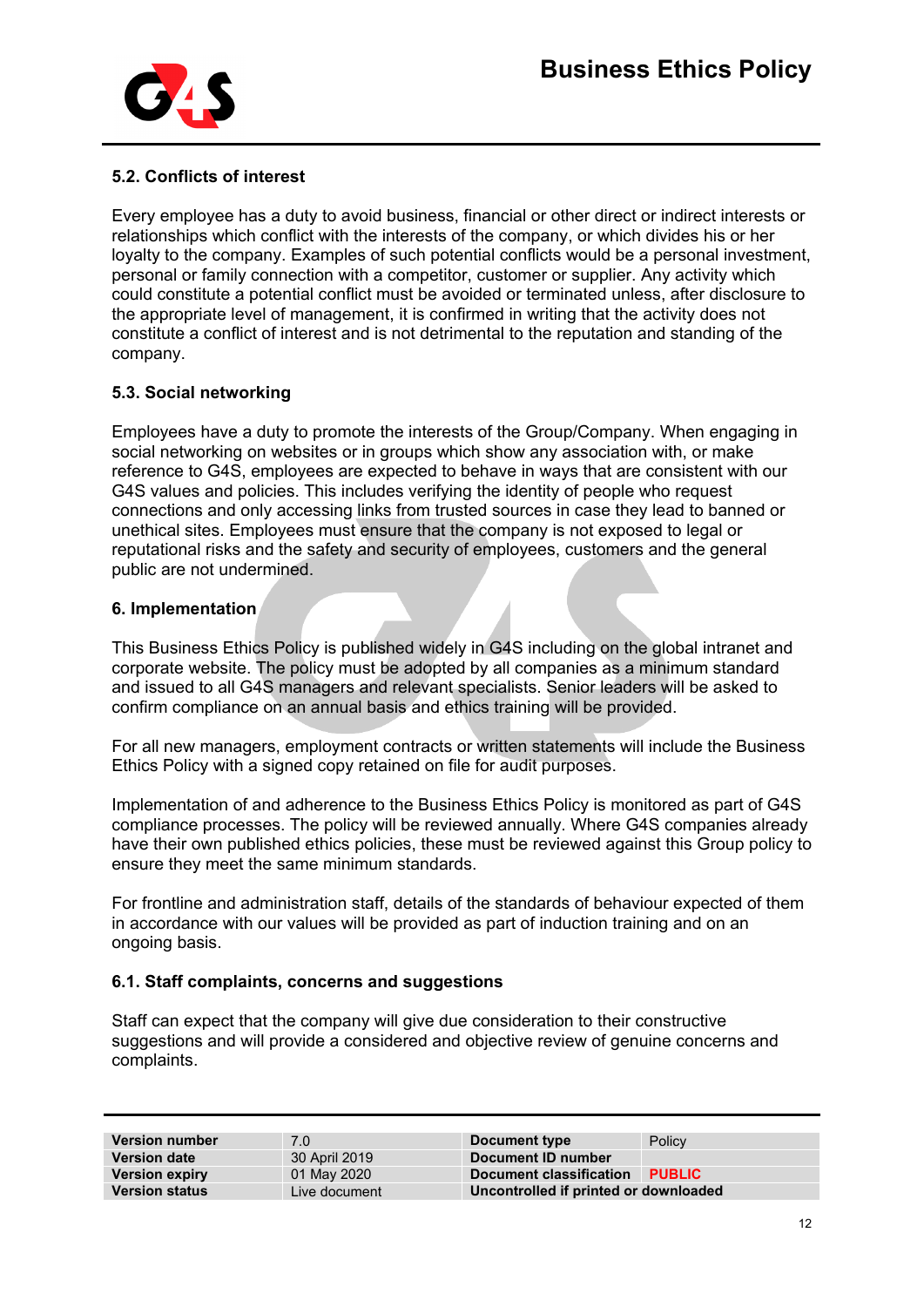

## **5.2. Conflicts of interest**

Every employee has a duty to avoid business, financial or other direct or indirect interests or relationships which conflict with the interests of the company, or which divides his or her loyalty to the company. Examples of such potential conflicts would be a personal investment, personal or family connection with a competitor, customer or supplier. Any activity which could constitute a potential conflict must be avoided or terminated unless, after disclosure to the appropriate level of management, it is confirmed in writing that the activity does not constitute a conflict of interest and is not detrimental to the reputation and standing of the company.

## **5.3. Social networking**

Employees have a duty to promote the interests of the Group/Company. When engaging in social networking on websites or in groups which show any association with, or make reference to G4S, employees are expected to behave in ways that are consistent with our G4S values and policies. This includes verifying the identity of people who request connections and only accessing links from trusted sources in case they lead to banned or unethical sites. Employees must ensure that the company is not exposed to legal or reputational risks and the safety and security of employees, customers and the general public are not undermined.

### **6. Implementation**

This Business Ethics Policy is published widely in G4S including on the global intranet and corporate website. The policy must be adopted by all companies as a minimum standard and issued to all G4S managers and relevant specialists. Senior leaders will be asked to confirm compliance on an annual basis and ethics training will be provided.

For all new managers, employment contracts or written statements will include the Business Ethics Policy with a signed copy retained on file for audit purposes.

Implementation of and adherence to the Business Ethics Policy is monitored as part of G4S compliance processes. The policy will be reviewed annually. Where G4S companies already have their own published ethics policies, these must be reviewed against this Group policy to ensure they meet the same minimum standards.

For frontline and administration staff, details of the standards of behaviour expected of them in accordance with our values will be provided as part of induction training and on an ongoing basis.

### **6.1. Staff complaints, concerns and suggestions**

Staff can expect that the company will give due consideration to their constructive suggestions and will provide a considered and objective review of genuine concerns and complaints.

| <b>Version number</b> | 7.0           | Document type                         | Policy        |
|-----------------------|---------------|---------------------------------------|---------------|
| <b>Version date</b>   | 30 April 2019 | Document ID number                    |               |
| <b>Version expiry</b> | 01 May 2020   | Document classification               | <b>PUBLIC</b> |
| <b>Version status</b> | Live document | Uncontrolled if printed or downloaded |               |